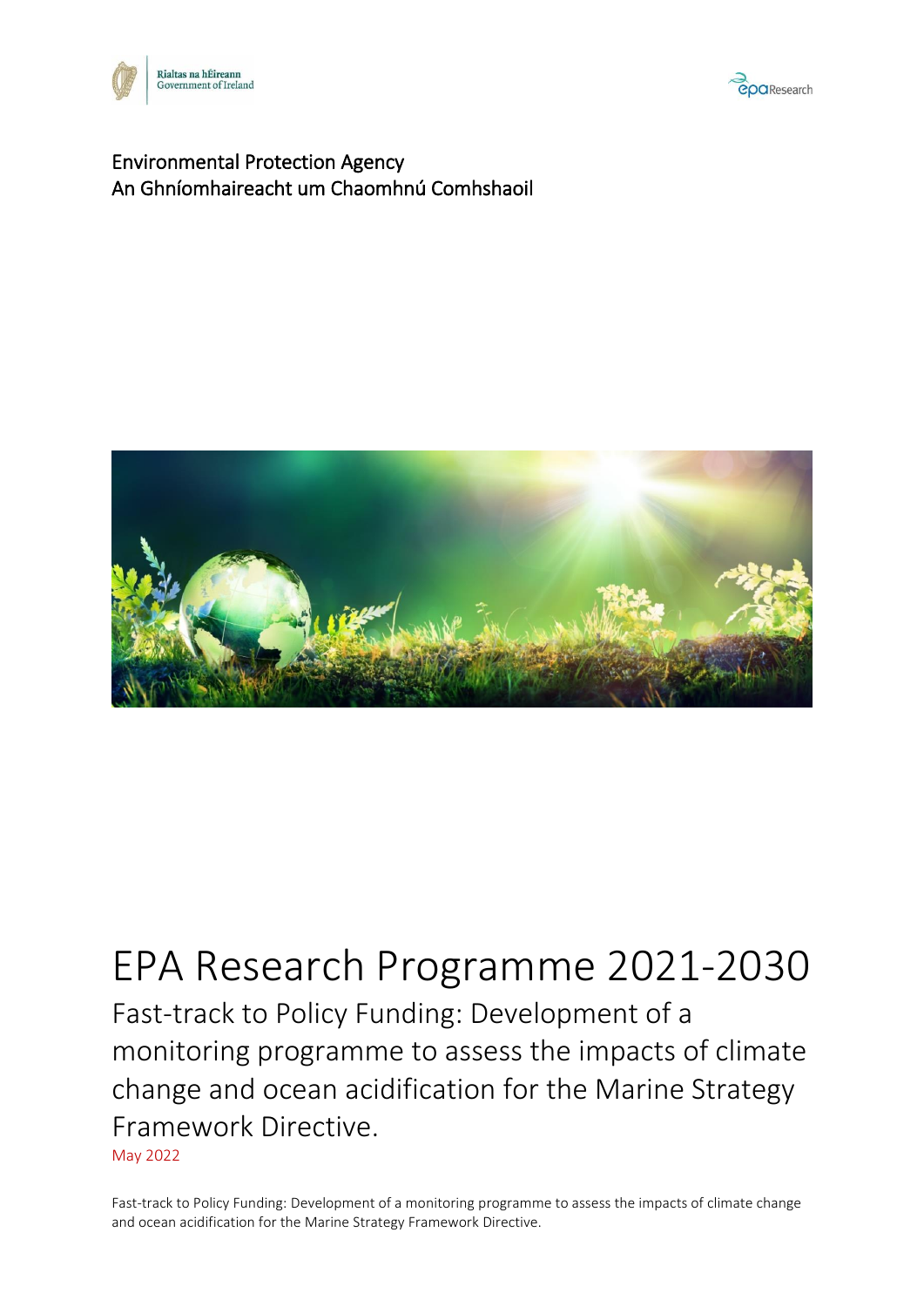



#### Environmental Protection Agency An Ghníomhaireacht um Chaomhnú Comhshaoil



# EPA Research Programme 2021-2030 Fast-track to Policy Funding: Development of a monitoring programme to assess the impacts of climate change and ocean acidification for the Marine Strategy Framework Directive. May 2022

Fast-track to Policy Funding: Development of a monitoring programme to assess the impacts of climate change and ocean acidification for the Marine Strategy Framework Directive.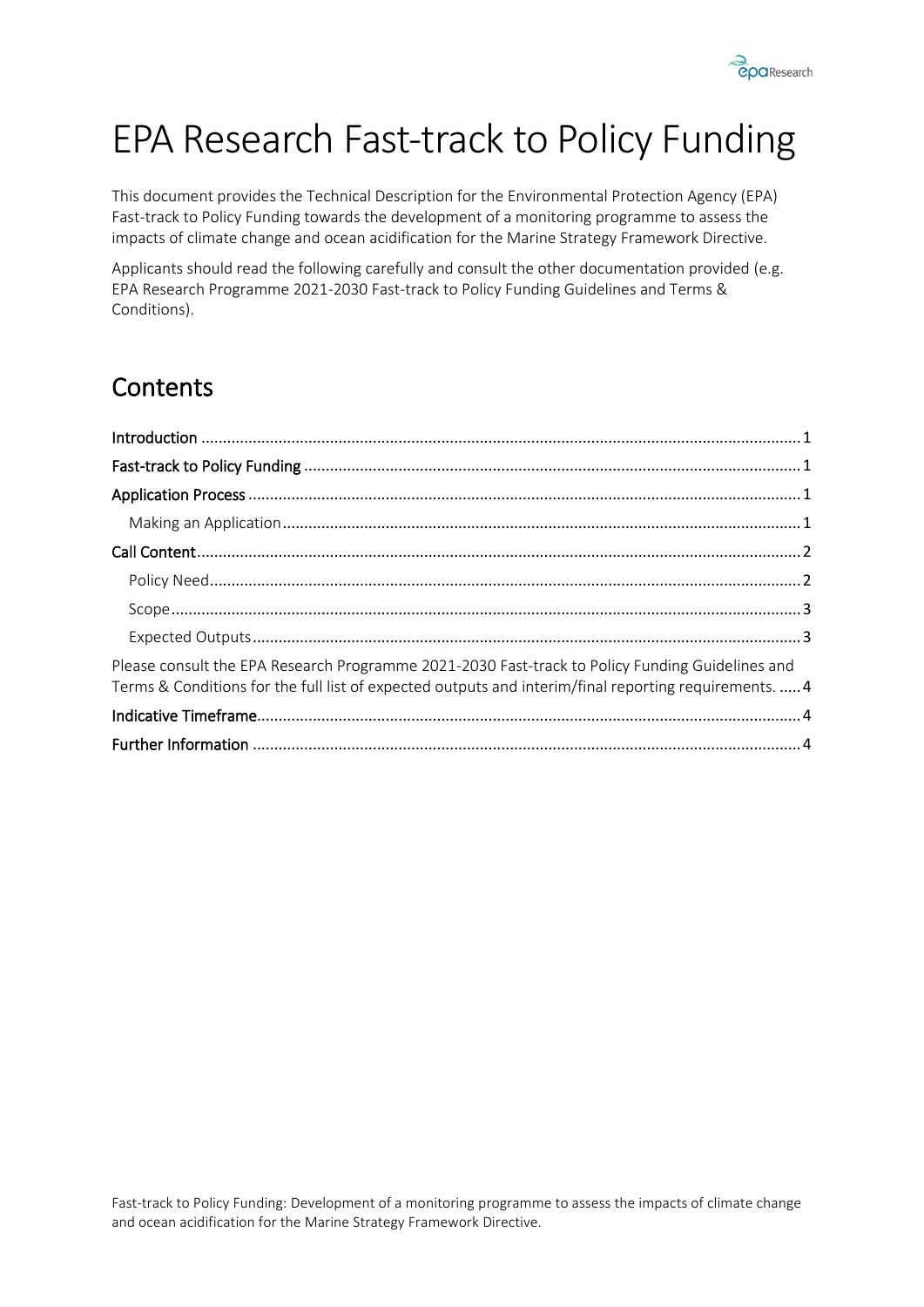

# EPA Research Fast-track to Policy Funding

This document provides the Technical Description for the Environmental Protection Agency (EPA) Fast-track to Policy Funding towards the development of a monitoring programme to assess the impacts of climate change and ocean acidification for the Marine Strategy Framework Directive.

Applicants should read the following carefully and consult the other documentation provided (e.g. EPA Research Programme 2021-2030 Fast-track to Policy Funding Guidelines and Terms & Conditions).

## **Contents**

| Please consult the EPA Research Programme 2021-2030 Fast-track to Policy Funding Guidelines and<br>Terms & Conditions for the full list of expected outputs and interim/final reporting requirements.  4 |  |
|----------------------------------------------------------------------------------------------------------------------------------------------------------------------------------------------------------|--|
|                                                                                                                                                                                                          |  |
|                                                                                                                                                                                                          |  |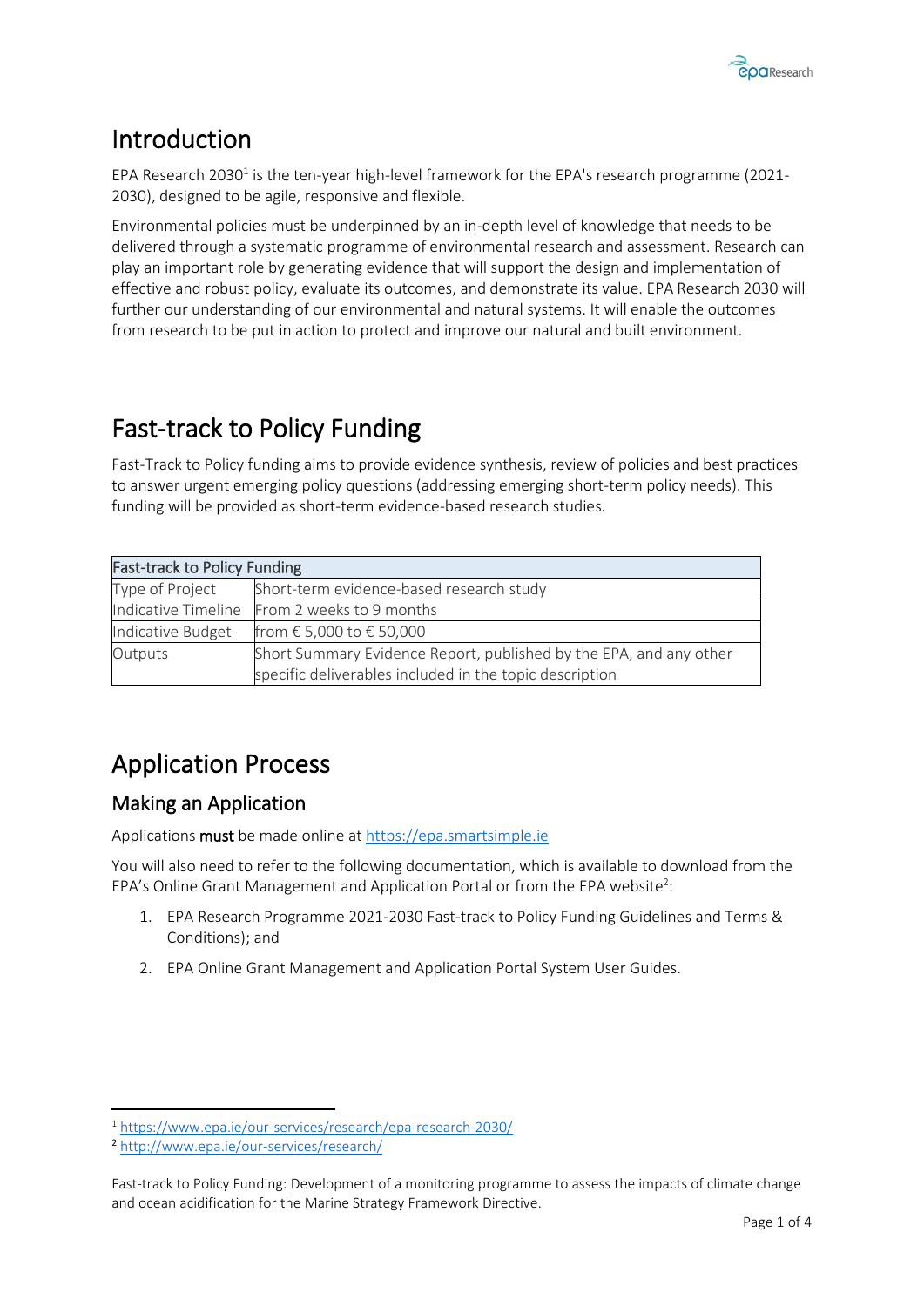

### <span id="page-2-0"></span>Introduction

EPA Research 2030<sup>1</sup> is the ten-year high-level framework for the EPA's research programme (2021-2030), designed to be agile, responsive and flexible.

Environmental policies must be underpinned by an in-depth level of knowledge that needs to be delivered through a systematic programme of environmental research and assessment. Research can play an important role by generating evidence that will support the design and implementation of effective and robust policy, evaluate its outcomes, and demonstrate its value. EPA Research 2030 will further our understanding of our environmental and natural systems. It will enable the outcomes from research to be put in action to protect and improve our natural and built environment.

### <span id="page-2-1"></span>Fast-track to Policy Funding

Fast-Track to Policy funding aims to provide evidence synthesis, review of policies and best practices to answer urgent emerging policy questions (addressing emerging short-term policy needs). This funding will be provided as short-term evidence-based research studies.

| <b>Fast-track to Policy Funding</b> |                                                                    |  |  |  |
|-------------------------------------|--------------------------------------------------------------------|--|--|--|
| Type of Project                     | Short-term evidence-based research study                           |  |  |  |
|                                     | Indicative Timeline From 2 weeks to 9 months                       |  |  |  |
| Indicative Budget                   | from € 5,000 to € 50,000                                           |  |  |  |
| Outputs                             | Short Summary Evidence Report, published by the EPA, and any other |  |  |  |
|                                     | specific deliverables included in the topic description            |  |  |  |

### <span id="page-2-2"></span>Application Process

#### <span id="page-2-3"></span>Making an Application

Applications must be made online a[t https://epa.smartsimple.ie](https://epa.smartsimple.ie/)

You will also need to refer to the following documentation, which is available to download from the EPA's Online Grant Management and Application Portal or from the EPA website<sup>2</sup>:

- 1. EPA Research Programme 2021-2030 Fast-track to Policy Funding Guidelines and Terms & Conditions); and
- 2. EPA Online Grant Management and Application Portal System User Guides.

<sup>1</sup> <https://www.epa.ie/our-services/research/epa-research-2030/>

<sup>2</sup> <http://www.epa.ie/our-services/research/>

Fast-track to Policy Funding: Development of a monitoring programme to assess the impacts of climate change and ocean acidification for the Marine Strategy Framework Directive.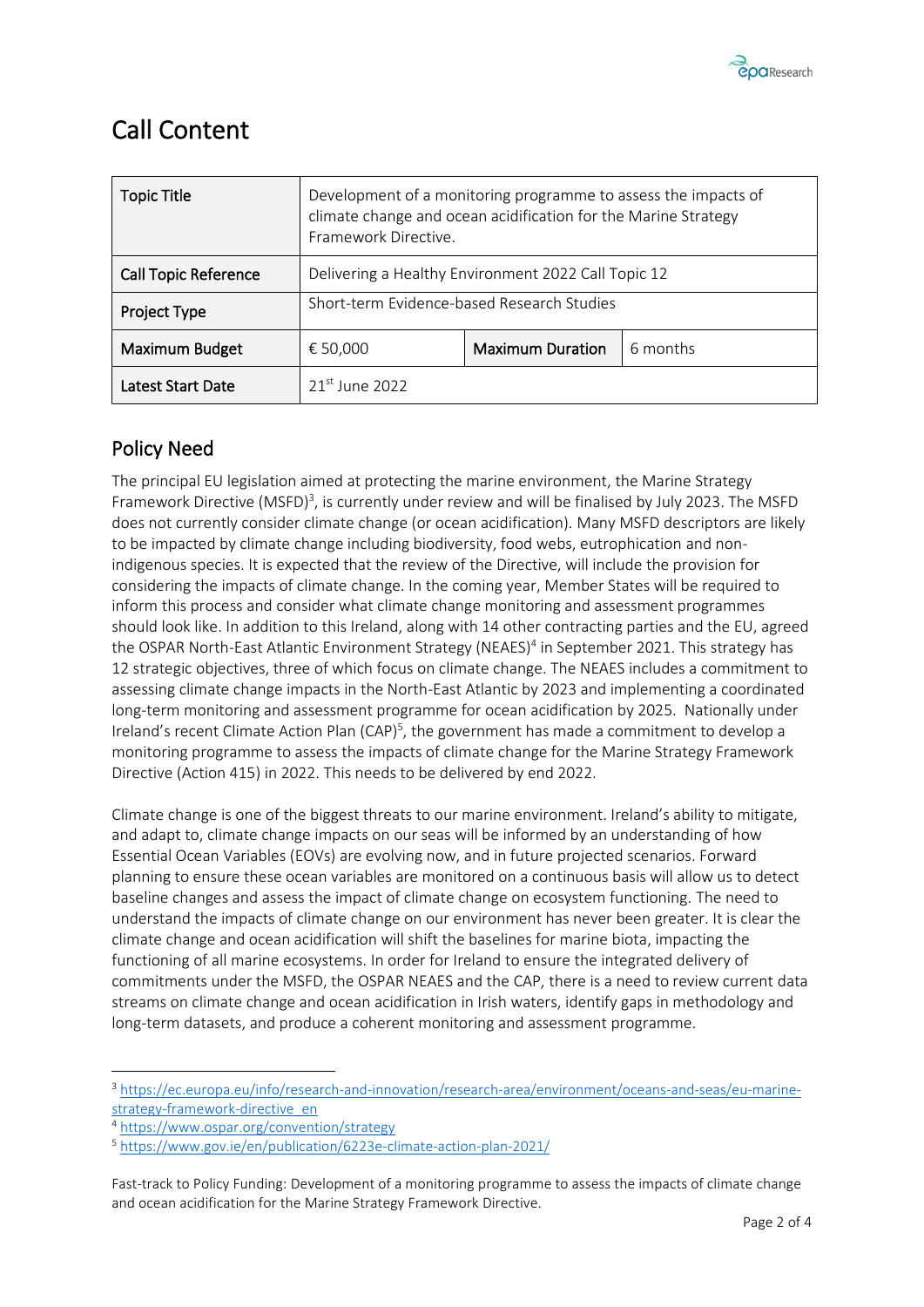

### <span id="page-3-0"></span>Call Content

| <b>Topic Title</b>          | Development of a monitoring programme to assess the impacts of<br>climate change and ocean acidification for the Marine Strategy<br>Framework Directive. |                         |          |
|-----------------------------|----------------------------------------------------------------------------------------------------------------------------------------------------------|-------------------------|----------|
| <b>Call Topic Reference</b> | Delivering a Healthy Environment 2022 Call Topic 12                                                                                                      |                         |          |
| Project Type                | Short-term Evidence-based Research Studies                                                                                                               |                         |          |
| Maximum Budget              | € 50,000                                                                                                                                                 | <b>Maximum Duration</b> | 6 months |
| <b>Latest Start Date</b>    | $21st$ June 2022                                                                                                                                         |                         |          |

#### <span id="page-3-1"></span>Policy Need

The principal EU legislation aimed at protecting the marine environment, the Marine Strategy Framework Directive (MSFD)<sup>3</sup>, is currently under review and will be finalised by July 2023. The MSFD does not currently consider climate change (or ocean acidification). Many MSFD descriptors are likely to be impacted by climate change including biodiversity, food webs, eutrophication and nonindigenous species. It is expected that the review of the Directive, will include the provision for considering the impacts of climate change. In the coming year, Member States will be required to inform this process and consider what climate change monitoring and assessment programmes should look like. In addition to this Ireland, along with 14 other contracting parties and the EU, agreed the OSPAR North-East Atlantic Environment Strategy (NEAES)<sup>4</sup> in September 2021. This strategy has 12 strategic objectives, three of which focus on climate change. The NEAES includes a commitment to assessing climate change impacts in the North-East Atlantic by 2023 and implementing a coordinated long-term monitoring and assessment programme for ocean acidification by 2025. Nationally under Ireland's recent Climate Action Plan (CAP)<sup>5</sup>, the government has made a commitment to develop a monitoring programme to assess the impacts of climate change for the Marine Strategy Framework Directive (Action 415) in 2022. This needs to be delivered by end 2022.

Climate change is one of the biggest threats to our marine environment. Ireland's ability to mitigate, and adapt to, climate change impacts on our seas will be informed by an understanding of how Essential Ocean Variables (EOVs) are evolving now, and in future projected scenarios. Forward planning to ensure these ocean variables are monitored on a continuous basis will allow us to detect baseline changes and assess the impact of climate change on ecosystem functioning. The need to understand the impacts of climate change on our environment has never been greater. It is clear the climate change and ocean acidification will shift the baselines for marine biota, impacting the functioning of all marine ecosystems. In order for Ireland to ensure the integrated delivery of commitments under the MSFD, the OSPAR NEAES and the CAP, there is a need to review current data streams on climate change and ocean acidification in Irish waters, identify gaps in methodology and long-term datasets, and produce a coherent monitoring and assessment programme.

<sup>&</sup>lt;sup>3</sup> [https://ec.europa.eu/info/research-and-innovation/research-area/environment/oceans-and-seas/eu-marine](https://ec.europa.eu/info/research-and-innovation/research-area/environment/oceans-and-seas/eu-marine-strategy-framework-directive_en)[strategy-framework-directive\\_en](https://ec.europa.eu/info/research-and-innovation/research-area/environment/oceans-and-seas/eu-marine-strategy-framework-directive_en)

<sup>4</sup> <https://www.ospar.org/convention/strategy>

<sup>5</sup> <https://www.gov.ie/en/publication/6223e-climate-action-plan-2021/>

Fast-track to Policy Funding: Development of a monitoring programme to assess the impacts of climate change and ocean acidification for the Marine Strategy Framework Directive.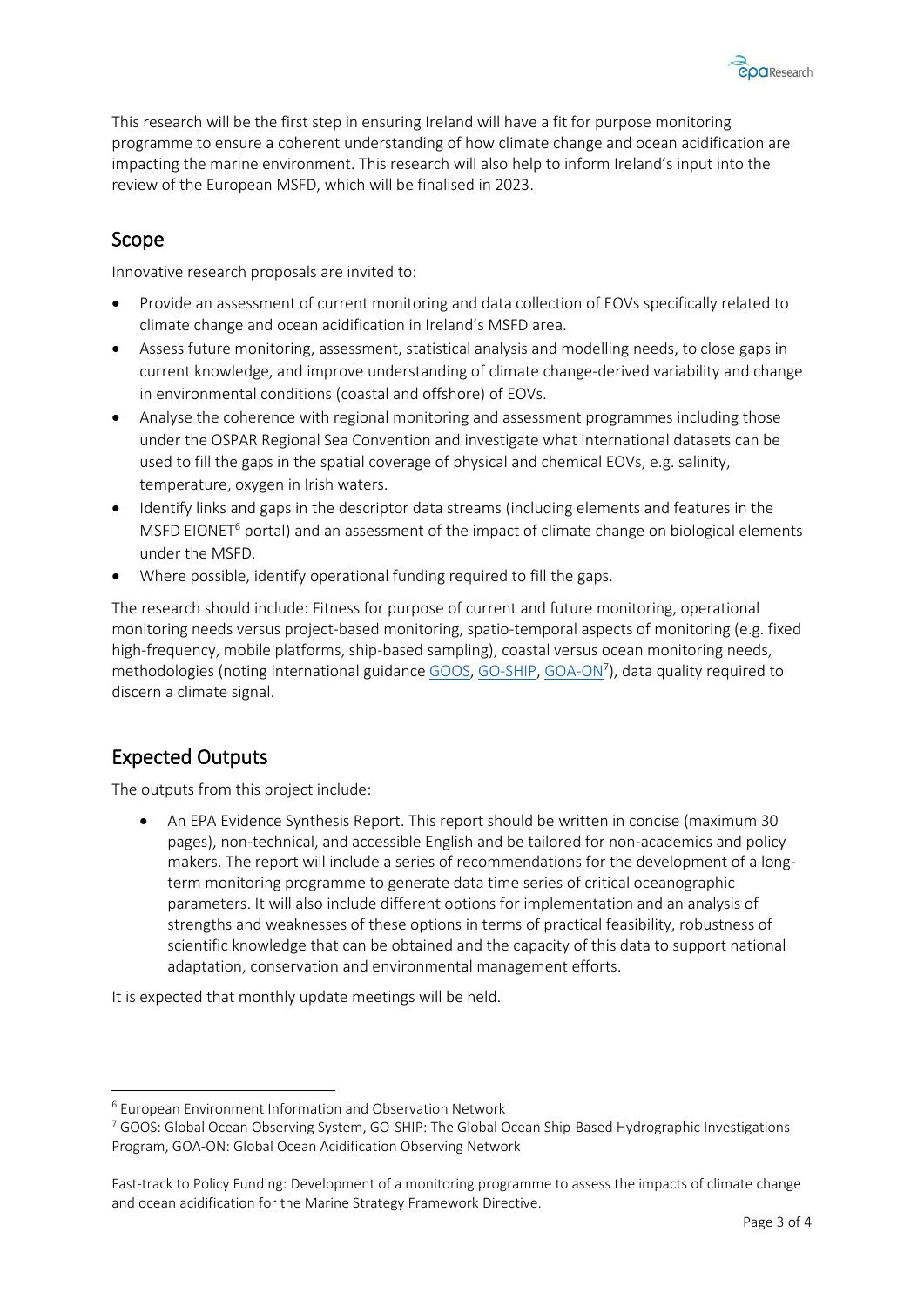

This research will be the first step in ensuring Ireland will have a fit for purpose monitoring programme to ensure a coherent understanding of how climate change and ocean acidification are impacting the marine environment. This research will also help to inform Ireland's input into the review of the European MSFD, which will be finalised in 2023.

#### <span id="page-4-0"></span>Scope

Innovative research proposals are invited to:

- Provide an assessment of current monitoring and data collection of EOVs specifically related to climate change and ocean acidification in Ireland's MSFD area.
- Assess future monitoring, assessment, statistical analysis and modelling needs, to close gaps in current knowledge, and improve understanding of climate change-derived variability and change in environmental conditions (coastal and offshore) of EOVs.
- Analyse the coherence with regional monitoring and assessment programmes including those under the OSPAR Regional Sea Convention and investigate what international datasets can be used to fill the gaps in the spatial coverage of physical and chemical EOVs, e.g. salinity, temperature, oxygen in Irish waters.
- Identify links and gaps in the descriptor data streams (including elements and features in the MSFD EIONET<sup>6</sup> portal) and an assessment of the impact of climate change on biological elements under the MSFD.
- Where possible, identify operational funding required to fill the gaps.

The research should include: Fitness for purpose of current and future monitoring, operational monitoring needs versus project-based monitoring, spatio-temporal aspects of monitoring (e.g. fixed high-frequency, mobile platforms, ship-based sampling), coastal versus ocean monitoring needs, methodologies (noting international guidanc[e GOOS,](https://www.goosocean.org/) [GO-SHIP,](https://www.go-ship.org/) [GOA-ON](http://www.goa-on.org/)<sup>7</sup>), data quality required to discern a climate signal.

#### <span id="page-4-1"></span>Expected Outputs

The outputs from this project include:

• An EPA Evidence Synthesis Report. This report should be written in concise (maximum 30 pages), non-technical, and accessible English and be tailored for non-academics and policy makers. The report will include a series of recommendations for the development of a longterm monitoring programme to generate data time series of critical oceanographic parameters. It will also include different options for implementation and an analysis of strengths and weaknesses of these options in terms of practical feasibility, robustness of scientific knowledge that can be obtained and the capacity of this data to support national adaptation, conservation and environmental management efforts.

It is expected that monthly update meetings will be held.

<sup>6</sup> European Environment Information and Observation Network

<sup>7</sup> GOOS: Global Ocean Observing System, GO-SHIP: The Global Ocean Ship-Based Hydrographic Investigations Program, GOA-ON: Global Ocean Acidification Observing Network

Fast-track to Policy Funding: Development of a monitoring programme to assess the impacts of climate change and ocean acidification for the Marine Strategy Framework Directive.